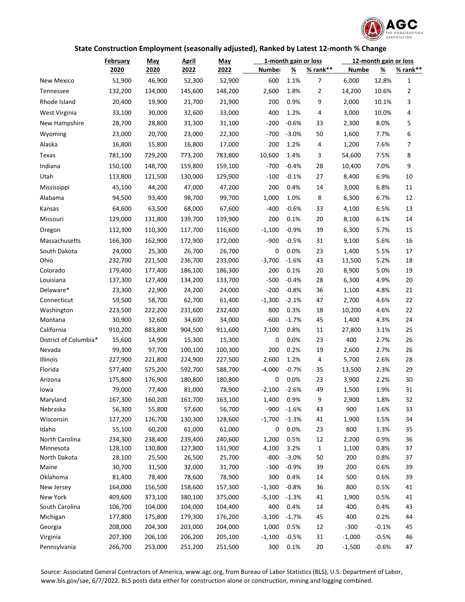

## **State Construction Employment (seasonally adjusted), Ranked by Latest 12-month % Change**

|                            | <b>February</b>    | <b>May</b>         | <u>April</u>       | <b>May</b>         |                   | 1-month gain or loss |                | 12-month gain or loss |                 |                |
|----------------------------|--------------------|--------------------|--------------------|--------------------|-------------------|----------------------|----------------|-----------------------|-----------------|----------------|
|                            | 2020               | 2020               | 2022               | 2022               | Number            | <u>%</u>             | $% rank**$     | <b>Numbe</b>          | <u>%</u>        | $% rank**$     |
| New Mexico                 | 51,900             | 46,900             | 52,300             | 52,900             | 600               | 1.1%                 | 7              | 6,000                 | 12.8%           | $\mathbf{1}$   |
| Tennessee                  | 132,200            | 134,000            | 145,600            | 148,200            | 2,600             | 1.8%                 | $\overline{2}$ | 14,200                | 10.6%           | $\overline{2}$ |
| Rhode Island               | 20,400             | 19,900             | 21,700             | 21,900             | 200               | 0.9%                 | 9              | 2,000                 | 10.1%           | 3              |
| West Virginia              | 33,100             | 30,000             | 32,600             | 33,000             | 400               | 1.2%                 | 4              | 3,000                 | 10.0%           | 4              |
| New Hampshire              | 28,700             | 28,800             | 31,300             | 31,100             | $-200$            | $-0.6%$              | 33             | 2,300                 | 8.0%            | 5              |
| Wyoming                    | 23,000             | 20,700             | 23,000             | 22,300             | $-700$            | $-3.0%$              | 50             | 1,600                 | 7.7%            | 6              |
| Alaska                     | 16,800             | 15,800             | 16,800             | 17,000             | 200               | 1.2%                 | 4              | 1,200                 | 7.6%            | 7              |
| Texas                      | 781,100            | 729,200            | 773,200            | 783,800            | 10,600            | 1.4%                 | 3              | 54,600                | 7.5%            | 8              |
| Indiana                    | 150,100            | 148,700            | 159,800            | 159,100            | $-700$            | $-0.4%$              | 28             | 10,400                | 7.0%            | 9              |
| Utah                       | 113,800            | 121,500            | 130,000            | 129,900            | $-100$            | $-0.1%$              | 27             | 8,400                 | 6.9%            | 10             |
| Mississippi                | 45,100             | 44,200             | 47,000             | 47,200             | 200               | 0.4%                 | 14             | 3,000                 | 6.8%            | 11             |
| Alabama                    | 94,500             | 93,400             | 98,700             | 99,700             | 1,000             | 1.0%                 | 8              | 6,300                 | 6.7%            | 12             |
| Kansas                     | 64,600             | 63,500             | 68,000             | 67,600             | $-400$            | $-0.6%$              | 33             | 4,100                 | 6.5%            | 13             |
| Missouri                   | 129,000            | 131,800            | 139,700            | 139,900            | 200               | 0.1%                 | 20             | 8,100                 | 6.1%            | 14             |
|                            | 112,300            | 110,300            | 117,700            | 116,600            | $-1,100$          | $-0.9%$              | 39             | 6,300                 | 5.7%            | 15             |
| Oregon<br>Massachusetts    | 166,300            | 162,900            | 172,900            | 172,000            | $-900$            | $-0.5%$              | 31             |                       | 5.6%            |                |
|                            |                    |                    |                    | 26,700             | 0                 |                      |                | 9,100                 |                 | 16             |
| South Dakota<br>Ohio       | 24,000<br>232,700  | 25,300<br>221,500  | 26,700<br>236,700  | 233,000            | $-3,700$          | 0.0%<br>$-1.6%$      | 23<br>43       | 1,400<br>11,500       | 5.5%<br>5.2%    | 17<br>18       |
| Colorado                   | 179,400            | 177,400            | 186,100            | 186,300            | 200               | 0.1%                 | 20             | 8,900                 | 5.0%            | 19             |
| Louisiana                  | 137,300            | 127,400            | 134,200            | 133,700            | $-500$            | $-0.4%$              | 28             | 6,300                 | 4.9%            | 20             |
| Delaware*                  | 23,300             | 22,900             | 24,200             | 24,000             | $-200$            | $-0.8%$              | 36             | 1,100                 | 4.8%            | 21             |
| Connecticut                | 59,500             | 58,700             | 62,700             | 61,400             | $-1,300$          | $-2.1%$              | 47             | 2,700                 | 4.6%            | 22             |
| Washington                 | 223,500            | 222,200            | 231,600            | 232,400            | 800               | 0.3%                 | 18             | 10,200                | 4.6%            | 22             |
| Montana                    | 30,900             | 32,600             | 34,600             | 34,000             | $-600$            | $-1.7%$              | 45             | 1,400                 | 4.3%            | 24             |
| California                 | 910,200            | 883,800            | 904,500            | 911,600            | 7,100             | 0.8%                 | 11             | 27,800                | 3.1%            | 25             |
| District of Columbia*      | 15,600             | 14,900             | 15,300             | 15,300             | 0                 | 0.0%                 | 23             | 400                   | 2.7%            | 26             |
| Nevada                     | 99,300             | 97,700             | 100,100            | 100,300            | 200               | 0.2%                 | 19             | 2,600                 | 2.7%            | 26             |
| Illinois                   | 227,900            | 221,800            | 224,900            | 227,500            | 2,600             | 1.2%                 | 4              | 5,700                 | 2.6%            | 28             |
| Florida                    | 577,400            | 575,200            | 592,700            | 588,700            | $-4,000$          | $-0.7%$              | 35             | 13,500                | 2.3%            | 29             |
| Arizona                    | 175,800            | 176,900            | 180,800            | 180,800            | 0                 | 0.0%                 | 23             | 3,900                 | 2.2%            | 30             |
| lowa                       | 79,000             | 77,400             | 81,000             | 78,900             | $-2,100$          | $-2.6%$              | 49             | 1,500                 | 1.9%            | 31             |
| Maryland                   | 167,300            | 160,200            | 161,700            | 163,100            | 1,400             | 0.9%                 | 9              | 2,900                 | 1.8%            | 32             |
| Nebraska                   | 56,300             | 55,800             | 57,600             | 56,700             | $-900$            | $-1.6%$              | 43             | 900                   | 1.6%            | 33             |
| Wisconsin                  | 127,200            | 126,700            | 130,300            | 128,600            | $-1,700$          | $-1.3%$              | 41             | 1,900                 | 1.5%            | 34             |
| Idaho                      | 55,100             | 60,200             | 61,000             | 61,000             | 0                 | 0.0%                 | 23             | 800                   | 1.3%            | 35             |
| North Carolina             | 234,300            | 238,400            | 239,400            | 240,600            | 1,200             | 0.5%                 | 12             | 2,200                 | 0.9%            | 36             |
| Minnesota                  | 128,100            | 130,800            | 127,800            | 131,900            | 4,100             | 3.2%                 | $\mathbf{1}$   | 1,100                 | 0.8%            | 37             |
| North Dakota               | 28,100             | 25,500             | 26,500             | 25,700             | $-800$            | $-3.0%$              | 50             | 200                   | 0.8%            | 37             |
| Maine                      | 30,700             | 31,500             | 32,000             | 31,700             | $-300$            | $-0.9%$              | 39             | 200                   | 0.6%            | 39             |
| Oklahoma                   | 81,400             | 78,400             | 78,600             | 78,900             | 300               | 0.4%                 | 14             | 500                   | 0.6%            | 39             |
| New Jersey                 | 164,000            | 156,500            | 158,600            | 157,300            | $-1,300$          | $-0.8%$              | 36             | 800                   | 0.5%            | 41             |
| New York<br>South Carolina | 409,600<br>106,700 | 373,100<br>104,000 | 380,100<br>104,000 | 375,000<br>104,400 | $-5,100$<br>400   | $-1.3%$<br>0.4%      | 41<br>14       | 1,900<br>400          | 0.5%<br>0.4%    | 41<br>43       |
|                            | 177,800            |                    | 179,300            |                    |                   | $-1.7%$              | 45             | 400                   |                 |                |
| Michigan<br>Georgia        | 208,000            | 175,800<br>204,300 | 203,000            | 176,200<br>204,000 | $-3,100$<br>1,000 | 0.5%                 | 12             | $-300$                | 0.2%<br>$-0.1%$ | 44<br>45       |
| Virginia                   | 207,300            | 206,100            | 206,200            | 205,100            | $-1,100$          | $-0.5%$              | 31             | $-1,000$              | $-0.5%$         | 46             |
| Pennsylvania               | 266,700            | 253,000            | 251,200            | 251,500            | 300               | 0.1%                 | 20             | $-1,500$              | $-0.6%$         | 47             |
|                            |                    |                    |                    |                    |                   |                      |                |                       |                 |                |

Source: Associated General Contractors of America, www.agc.org, from Bureau of Labor Statistics (BLS), U.S. Department of Labor, www.bls.gov/sae, 6/7/2022. BLS posts data either for construction alone or construction, mining and logging combined.